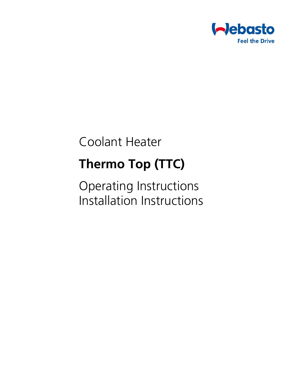

# Coolant Heater **Thermo Top (TTC)**

Operating Instructions Installation Instructions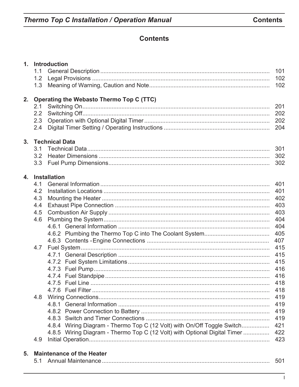# **Contents**

|    |                  | 1. Introduction                                                           |     |
|----|------------------|---------------------------------------------------------------------------|-----|
|    | 1.1              |                                                                           | 101 |
|    | 1.2 <sub>2</sub> |                                                                           | 102 |
|    | 1.3              |                                                                           | 102 |
| 2. |                  | <b>Operating the Webasto Thermo Top C (TTC)</b>                           |     |
|    | 2.1              |                                                                           | 201 |
|    | 2.2              |                                                                           |     |
|    | 2.3              |                                                                           |     |
|    | 2.4              |                                                                           |     |
|    |                  | 3. Technical Data                                                         |     |
|    | 3.1              |                                                                           |     |
|    | 3.2              |                                                                           |     |
|    | 3.3              |                                                                           |     |
|    |                  | 4. Installation                                                           |     |
|    | 4.1              |                                                                           | 401 |
|    | 4.2              |                                                                           | 401 |
|    | 4.3              |                                                                           | 402 |
|    | 4.4              |                                                                           |     |
|    | 4.5              |                                                                           | 403 |
|    | 4.6              |                                                                           | 404 |
|    |                  |                                                                           | 404 |
|    |                  |                                                                           | 405 |
|    |                  |                                                                           | 407 |
|    | 4.7              |                                                                           | 415 |
|    |                  |                                                                           |     |
|    |                  |                                                                           |     |
|    |                  |                                                                           | 416 |
|    |                  |                                                                           | 416 |
|    |                  |                                                                           | 418 |
|    |                  |                                                                           | 418 |
|    | 4.8              |                                                                           | 419 |
|    |                  |                                                                           | 419 |
|    |                  |                                                                           | 419 |
|    |                  |                                                                           | 419 |
|    |                  | 4.8.4 Wiring Diagram - Thermo Top C (12 Volt) with On/Off Toggle Switch   | 421 |
|    |                  | 4.8.5 Wiring Diagram - Thermo Top C (12 Volt) with Optional Digital Timer | 422 |
|    | 4.9              |                                                                           | 423 |
| 5. |                  | <b>Maintenance of the Heater</b>                                          |     |
|    | 5.1              |                                                                           | 501 |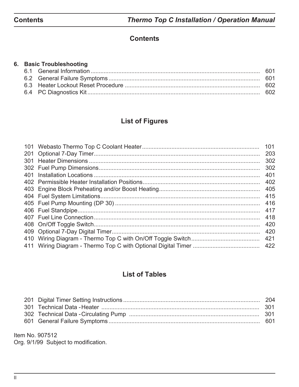# **Contents**

## 6. Basic Troubleshooting

# **List of Figures**

| 101 |
|-----|
| 203 |
| 302 |
| 302 |
| 401 |
| 402 |
| 405 |
| 415 |
| 416 |
| 417 |
| 418 |
| 420 |
| 420 |
| 421 |
|     |
|     |

# **List of Tables**

# Item No. 907512

Org. 9/1/99 Subject to modification.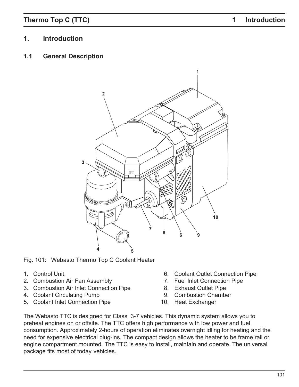# **Thermo Top C (TTC)** 1 Introduction

# **1. Introduction**

**1.1 General Description**



Fig. 101: Webasto Thermo Top C Coolant Heater

- 
- 2. Combustion Air Fan Assembly 7. Fuel Inlet Connection Pipe
- 3. Combustion Air Inlet Connection Pipe 8. Exhaust Outlet Pipe
- 4. Coolant Circulating Pump 9. Combustion Chamber
- 5. Coolant Inlet Connection Pipe 10. Heat Exchanger
- 1. Control Unit. 6. Coolant Outlet Connection Pipe
	-
	-
	-
	-

The Webasto TTC is designed for Class 3-7 vehicles. This dynamic system allows you to preheat engines on or offsite. The TTC offers high performance with low power and fuel consumption. Approximately 2-hours of operation eliminates overnight idling for heating and the need for expensive electrical plug-ins. The compact design allows the heater to be frame rail or engine compartment mounted. The TTC is easy to install, maintain and operate. The universal package fits most of today vehicles.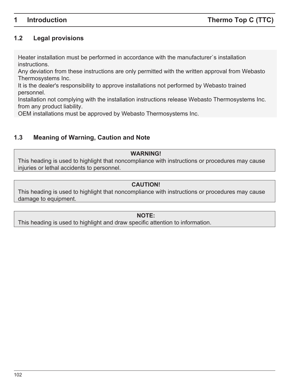# **1.2 Legal provisions**

Heater installation must be performed in accordance with the manufacturer`s installation instructions.

Any deviation from these instructions are only permitted with the written approval from Webasto Thermosystems Inc.

It is the dealer's responsibility to approve installations not performed by Webasto trained personnel.

Installation not complying with the installation instructions release Webasto Thermosystems Inc. from any product liability.

OEM installations must be approved by Webasto Thermosystems Inc.

# **1.3 Meaning of Warning, Caution and Note**

### **WARNING!**

This heading is used to highlight that noncompliance with instructions or procedures may cause injuries or lethal accidents to personnel.

# **CAUTION!**

This heading is used to highlight that noncompliance with instructions or procedures may cause damage to equipment.

### **NOTE:**

This heading is used to highlight and draw specific attention to information.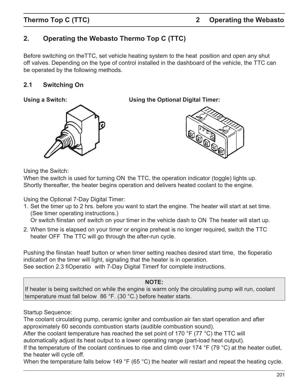# **2. Operating the Webasto Thermo Top C (TTC)**

Before switching on theTTC, set vehicle heating system to the heat position and open any shut off valves. Depending on the type of control installed in the dashboard of the vehicle, the TTC can be operated by the following methods.

# **2.1 Switching On**



**Using a Switch: Using the Optional Digital Timer:**



Using the Switch:

When the switch is used for turning ON the TTC, the operation indicator (toggle) lights up. Shortly thereafter, the heater begins operation and delivers heated coolant to the engine.

Using the Optional 7-Day Digital Timer:

1. Set the timer up to 2 hrs. before you want to start the engine. The heater will start at set time. (See timer operating instructions.)

Or switch fiinstan onf switch on your timer in the vehicle dash to ON The heater will start up.

2. When time is elapsed on your timer or engine preheat is no longer required, switch the TTC heater OFF The TTC will go through the after-run cycle.

Pushing the fiinstan heatf button or when timer setting reaches desired start time, the fioperatio indicatorf on the timer will light, signaling that the heater is in operation. See section 2.3 fiOperatio with 7-Day Digital Timerf for complete instructions.

### **NOTE:**

If heater is being switched on while the engine is warm only the circulating pump will run, coolant temperature must fall below 86 °F. (30 °C.) before heater starts.

Startup Sequence:

The coolant circulating pump, ceramic igniter and combustion air fan start operation and after approximately 60 seconds combustion starts (audible combustion sound).

After the coolant temperature has reached the set point of 170  $\degree$ F (77  $\degree$ C) the TTC will automatically adjust its heat output to a lower operating range (part-load heat output).

If the temperature of the coolant continues to rise and climb over 174 °F (79 °C) at the heater outlet, the heater will cycle off.

When the temperature falls below 149 °F (65 °C) the heater will restart and repeat the heating cycle.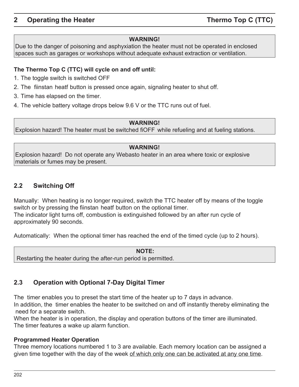# **2** Operating the Heater **Thermo Top C (TTC)**

### **WARNING!**

Due to the danger of poisoning and asphyxiation the heater must not be operated in enclosed spaces such as garages or workshops without adequate exhaust extraction or ventilation.

### **The Thermo Top C (TTC) will cycle on and off until:**

- 1. The toggle switch is switched OFF
- 2. The fiinstan heatf button is pressed once again, signaling heater to shut off.
- 3. Time has elapsed on the timer.
- 4. The vehicle battery voltage drops below 9.6 V or the TTC runs out of fuel.

### **WARNING!**

Explosion hazard! The heater must be switched fiOFF while refueling and at fueling stations.

### **WARNING!**

Explosion hazard! Do not operate any Webasto heater in an area where toxic or explosive materials or fumes may be present.

## **2.2 Switching Off**

Manually: When heating is no longer required, switch the TTC heater off by means of the toggle switch or by pressing the fiinstan heatf button on the optional timer. The indicator light turns off, combustion is extinguished followed by an after run cycle of approximately 90 seconds.

Automatically: When the optional timer has reached the end of the timed cycle (up to 2 hours).

**NOTE:** Restarting the heater during the after-run period is permitted.

# **2.3 Operation with Optional 7-Day Digital Timer**

The timer enables you to preset the start time of the heater up to 7 days in advance. In addition, the timer enables the heater to be switched on and off instantly thereby eliminating the need for a separate switch.

When the heater is in operation, the display and operation buttons of the timer are illuminated. The timer features a wake up alarm function.

### **Programmed Heater Operation**

Three memory locations numbered 1 to 3 are available. Each memory location can be assigned a given time together with the day of the week of which only one can be activated at any one time.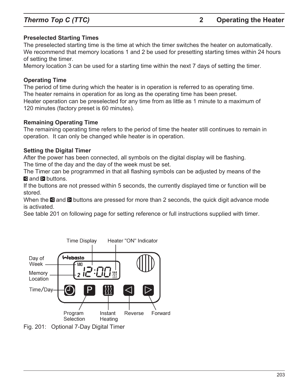# *Thermo Top C (TTC)* **2 Operating the Heater**

### **Preselected Starting Times**

The preselected starting time is the time at which the timer switches the heater on automatically. We recommend that memory locations 1 and 2 be used for presetting starting times within 24 hours of setting the timer.

Memory location 3 can be used for a starting time within the next 7 days of setting the timer.

### **Operating Time**

The period of time during which the heater is in operation is referred to as operating time. The heater remains in operation for as long as the operating time has been preset. Heater operation can be preselected for any time from as little as 1 minute to a maximum of 120 minutes (factory preset is 60 minutes).

### **Remaining Operating Time**

The remaining operating time refers to the period of time the heater still continues to remain in operation. It can only be changed while heater is in operation.

### **Setting the Digital Timer**

After the power has been connected, all symbols on the digital display will be flashing.

The time of the day and the day of the week must be set.

The Timer can be programmed in that all flashing symbols can be adjusted by means of the **E** and **D** buttons.

If the buttons are not pressed within 5 seconds, the currently displayed time or function will be stored.

When the  $\triangleleft$  and  $\trianglerighteq$  buttons are pressed for more than 2 seconds, the quick digit advance mode is activated.

See table 201 on following page for setting reference or full instructions supplied with timer.



Fig. 201: Optional 7-Day Digital Timer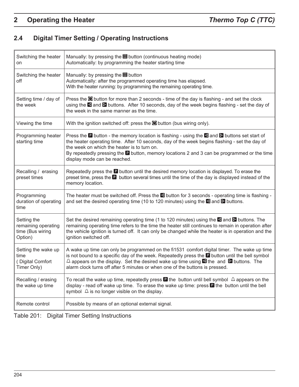# **2 Operating the Heater** *Thermo Top C (TTC)*

# **2.4 Digital Timer Setting / Operating Instructions**

| Switching the heater<br>on                                        | Manually: by pressing the <b>W</b> button (continuous heating mode)<br>Automatically: by programming the heater starting time                                                                                                                                                                                                                                                                                      |
|-------------------------------------------------------------------|--------------------------------------------------------------------------------------------------------------------------------------------------------------------------------------------------------------------------------------------------------------------------------------------------------------------------------------------------------------------------------------------------------------------|
| Switching the heater<br>off                                       | Manually: by pressing the $\mathbf{M}$ button<br>Automatically: after the programmed operating time has elapsed.<br>With the heater running: by programming the remaining operating time.                                                                                                                                                                                                                          |
| Setting time / day of<br>the week                                 | Press the <b>O</b> button for more than 2 seconds - time of the day is flashing - and set the clock<br>using the $\triangleleft$ and $\triangleright$ buttons. After 10 seconds, day of the week begins flashing - set the day of<br>the week in the same manner as the time.                                                                                                                                      |
| Viewing the time                                                  | With the ignition switched off: press the @ button (bus wiring only).                                                                                                                                                                                                                                                                                                                                              |
| Programming heater<br>starting time                               | Press the <b>D</b> button - the memory location is flashing - using the $\Box$ and $\Box$ buttons set start of<br>the heater operating time. After 10 seconds, day of the week begins flashing - set the day of<br>the week on which the heater is to turn on.<br>By repeatedly pressing the $\blacksquare$ button, memory locations 2 and 3 can be programmed or the time<br>display mode can be reached.         |
| Recalling / erasing<br>preset times                               | Repeatedly press the $\Omega$ button until the desired memory location is displayed. To erase the<br>preset time, press the <b>D</b> button several times until the time of the day is displayed instead of the<br>memory location.                                                                                                                                                                                |
| Programming<br>duration of operating<br>time                      | The heater must be switched off. Press the $\blacksquare$ button for 3 seconds - operating time is flashing -<br>and set the desired operating time (10 to 120 minutes) using the $\blacksquare$ and $\blacksquare$ buttons.                                                                                                                                                                                       |
| Setting the<br>remaining operating<br>time (Bus wiring<br>Option) | Set the desired remaining operating time (1 to 120 minutes) using the $\triangle$ and $\triangleright$ buttons. The<br>remaining operating time refers to the time the heater still continues to remain in operation after<br>the vehicle ignition is turned off. It can only be changed while the heater is in operation and the<br>ignition switched off.                                                        |
| Setting the wake up<br>time<br>(Digital Comfort<br>Timer Only)    | A wake up time can only be programmed on the fi1531 comfort digital timer. The wake up time<br>is not bound to a specific day of the week. Repeatedly press the $\blacksquare$ button until the bell symbol<br>$\triangle$ appears on the display. Set the desired wake up time using $\triangle$ the and $\triangle$ buttons. The<br>alarm clock turns off after 5 minutes or when one of the buttons is pressed. |
| Recalling / erasing<br>the wake up time                           | To recall the wake up time, repeatedly press <b>D</b> the button until bell symbol $\Delta$ appears on the<br>display - read off wake up time. To erase the wake up time: press $\blacksquare$ the button until the bell<br>symbol $\Delta$ is no longer visible on the display.                                                                                                                                   |
| Remote control                                                    | Possible by means of an optional external signal.                                                                                                                                                                                                                                                                                                                                                                  |

Table 201: Digital Timer Setting Instructions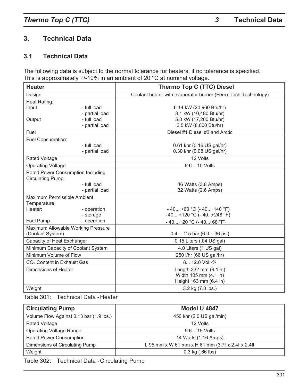*Thermo Top C (TTC) 3* **Technical Data**

# **3. Technical Data**

# **3.1 Technical Data**

The following data is subject to the normal tolerance for heaters, if no tolerance is specified. This is approximately +/-10% in an ambient of 20 °C at nominal voltage.

| <b>Heater</b>                          |                                    | Thermo Top C (TTC) Diesel                                     |
|----------------------------------------|------------------------------------|---------------------------------------------------------------|
| Design                                 |                                    | Coolant heater with evaporator burner (Ferro-Tech Technology) |
| Heat Rating:                           |                                    |                                                               |
| Input                                  | - full load                        | 6.14 kW (20,960 Btu/hr)                                       |
|                                        | - partial load                     | 3.1 kW (10,480 Btu/hr)                                        |
| Output                                 | - full load                        | 5.0 kW (17,200 Btu/hr)                                        |
|                                        | - partial load                     | 2.5 kW (8,600 Btu/hr)                                         |
| Fuel                                   |                                    | Diesel #1 Diesel #2 and Arctic                                |
| Fuel Consumption:                      |                                    |                                                               |
|                                        | - full load                        | 0.61 l/hr (0.16 US gal/hr)                                    |
|                                        | - partial load                     | 0.30 l/hr (0.08 US gal/hr)                                    |
| <b>Rated Voltage</b>                   |                                    | 12 Volts                                                      |
| <b>Operating Voltage</b>               |                                    | 9.6 15 Volts                                                  |
| Rated Power Consumption Including      |                                    |                                                               |
| Circulating Pump:                      |                                    |                                                               |
|                                        | - full load                        | 46 Watts (3.8 Amps)                                           |
|                                        | - partial load                     | 32 Watts (2.6 Amps)                                           |
| Maximum Permissible Ambient            |                                    |                                                               |
| Temperature:                           |                                    |                                                               |
| Heater:                                | - operation                        | $-40+60$ °C ( $-40+140$ °F)                                   |
| Fuel Pump                              | - storage<br>- operation           | $-40+120$ °C ( $-40+248$ °F)                                  |
|                                        |                                    | $-40+20$ °C ( $-40+68$ °F)                                    |
| (Coolant System)                       | Maximum Allowable Working Pressure | $0.4$ 2.5 bar (6.0 36 psi)                                    |
|                                        |                                    |                                                               |
| Capacity of Heat Exchanger             |                                    | 0.15 Liters (.04 US gal)                                      |
| Minimum Capacity of Coolant System     |                                    | 4.0 Liters (1 US gal)                                         |
| Minimum Volume of Flow                 |                                    | 250 I/hr (66 US gal/hr)                                       |
| CO <sub>2</sub> Content in Exhaust Gas |                                    | 8 12.0 Vol.-%                                                 |
| Dimensions of Heater                   |                                    | Length 232 mm (9.1 in)                                        |
|                                        |                                    | Width 105 mm (4.1 in)                                         |
|                                        |                                    | Height 163 mm (6.4 in)                                        |
| Weight                                 |                                    | 3.2 kg (7.0 lbs.)                                             |

# Table 301: Technical Data - Heater

| <b>Circulating Pump</b>                 | Model U 4847                                     |
|-----------------------------------------|--------------------------------------------------|
| Volume Flow Against 0.13 bar (1.9 lbs.) | 450 l/hr (2.0 US gal/min)                        |
| <b>Rated Voltage</b>                    | 12 Volts                                         |
| <b>Operating Voltage Range</b>          | 9.6 15 Volts                                     |
| <b>Rated Power Consumption</b>          | 14 Watts (1.16 Amps)                             |
| Dimensions of Circulating Pump          | L 95 mm x W 61 mm x H 61 mm (3.7f x 2.4f x 2.4fl |
| Weight                                  | $0.3$ kg $(.66$ lbs)                             |

Table 302: Technical Data - Circulating Pump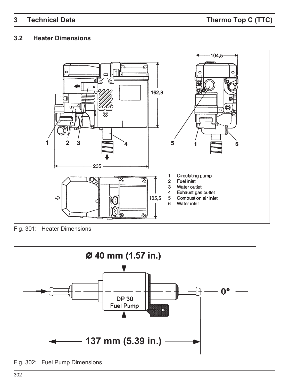# **3.2 Heater Dimensions**



Fig. 301: Heater Dimensions



Fig. 302: Fuel Pump Dimensions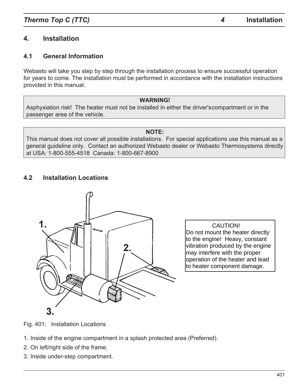# **4. Installation**

# **4.1 General Information**

Webasto will take you step by step through the installation process to ensure successful operation for years to come. The installation must be performed in accordance with the installation instructions provided in this manual.

### **WARNING!**

Asphyxiation risk! The heater must not be installed in either the driver's compartment or in the passenger area of the vehicle.

### **NOTE:**

This manual does not cover all possible installations. For special applications use this manual as a general guideline only. Contact an authorized Webasto dealer or Webasto Thermosystems directly at USA: 1-800-555-4518 Canada: 1-800-667-8900

# **4.2 Installation Locations**



 CAUTION! Do not mount the heater directly to the engine! Heavy, constant vibration produced by the engine may interfere with the proper operation of the heater and lead to heater component damage.

Fig. 401: Installation Locations

- 1. Inside of the engine compartment in a splash protected area (Preferred).
- 2. On left/right side of the frame.
- 3. Inside under-step compartment.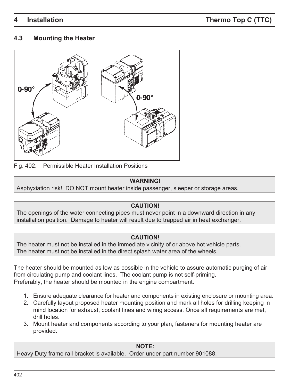# **4.3 Mounting the Heater**



Fig. 402: Permissible Heater Installation Positions

### **WARNING!**

Asphyxiation risk! DO NOT mount heater inside passenger, sleeper or storage areas.

### **CAUTION!**

The openings of the water connecting pipes must never point in a downward direction in any installation position. Damage to heater will result due to trapped air in heat exchanger.

# **CAUTION!**

The heater must not be installed in the immediate vicinity of or above hot vehicle parts. The heater must not be installed in the direct splash water area of the wheels.

The heater should be mounted as low as possible in the vehicle to assure automatic purging of air from circulating pump and coolant lines. The coolant pump is not self-priming. Preferably, the heater should be mounted in the engine compartment.

- 1. Ensure adequate clearance for heater and components in existing enclosure or mounting area.
- 2. Carefully layout proposed heater mounting position and mark all holes for drilling keeping in mind location for exhaust, coolant lines and wiring access. Once all requirements are met, drill holes.
- 3. Mount heater and components according to your plan, fasteners for mounting heater are provided.

### **NOTE:**

Heavy Duty frame rail bracket is available. Order under part number 901088.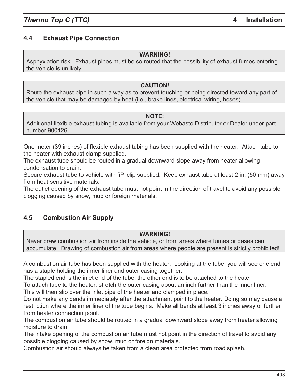# *Thermo Top C (TTC)* **4 Installation**

### **4.4 Exhaust Pipe Connection**

### **WARNING!**

Asphyxiation risk! Exhaust pipes must be so routed that the possibility of exhaust fumes entering the vehicle is unlikely.

### **CAUTION!**

Route the exhaust pipe in such a way as to prevent touching or being directed toward any part of the vehicle that may be damaged by heat (i.e., brake lines, electrical wiring, hoses).

### **NOTE:**

Additional flexible exhaust tubing is available from your Webasto Distributor or Dealer under part number 900126.

One meter (39 inches) of flexible exhaust tubing has been supplied with the heater. Attach tube to the heater with exhaust clamp supplied.

The exhaust tube should be routed in a gradual downward slope away from heater allowing condensation to drain.

Secure exhaust tube to vehicle with fiP clip supplied. Keep exhaust tube at least 2 in. (50 mm) away from heat sensitive materials.

The outlet opening of the exhaust tube must not point in the direction of travel to avoid any possible clogging caused by snow, mud or foreign materials.

### **4.5 Combustion Air Supply**

### **WARNING!**

Never draw combustion air from inside the vehicle, or from areas where fumes or gases can accumulate. Drawing of combustion air from areas where people are present is strictly prohibited!

A combustion air tube has been supplied with the heater. Looking at the tube, you will see one end has a staple holding the inner liner and outer casing together.

The stapled end is the inlet end of the tube, the other end is to be attached to the heater.

To attach tube to the heater, stretch the outer casing about an inch further than the inner liner.

This will then slip over the inlet pipe of the heater and clamped in place.

Do not make any bends immediately after the attachment point to the heater. Doing so may cause a restriction where the inner liner of the tube begins. Make all bends at least 3 inches away or further from heater connection point.

The combustion air tube should be routed in a gradual downward slope away from heater allowing moisture to drain.

The intake opening of the combustion air tube must not point in the direction of travel to avoid any possible clogging caused by snow, mud or foreign materials.

Combustion air should always be taken from a clean area protected from road splash.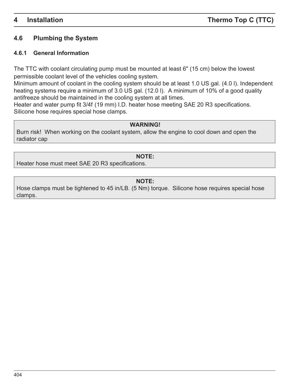# **4.6 Plumbing the System**

### **4.6.1 General Information**

The TTC with coolant circulating pump must be mounted at least 6" (15 cm) below the lowest permissible coolant level of the vehicles cooling system.

Minimum amount of coolant in the cooling system should be at least 1.0 US gal. (4.0 l). Independent heating systems require a minimum of 3.0 US gal. (12.0 l). A minimum of 10% of a good quality antifreeze should be maintained in the cooling system at all times.

Heater and water pump fit 3/4f (19 mm) I.D. heater hose meeting SAE 20 R3 specifications. Silicone hose requires special hose clamps.

### **WARNING!**

Burn risk! When working on the coolant system, allow the engine to cool down and open the radiator cap

### **NOTE:**

Heater hose must meet SAE 20 R3 specifications.

### **NOTE:**

Hose clamps must be tightened to 45 in/LB. (5 Nm) torque. Silicone hose requires special hose clamps.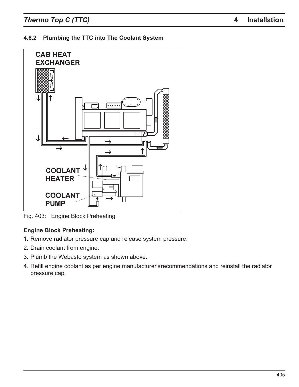# *Thermo Top C (TTC)* **4 Installation**

### **4.6.2 Plumbing the TTC into The Coolant System**



Fig. 403: Engine Block Preheating

### **Engine Block Preheating:**

- 1. Remove radiator pressure cap and release system pressure.
- 2. Drain coolant from engine.
- 3. Plumb the Webasto system as shown above.
- 4. Refill engine coolant as per engine manufacturer's recommendations and reinstall the radiator pressure cap.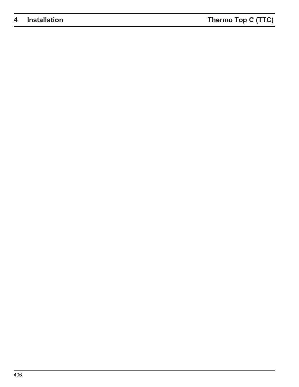### **Installation**  $\overline{\mathbf{4}}$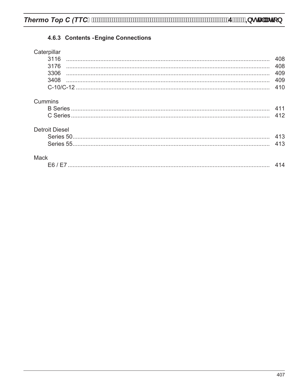|--|--|--|

# 4.6.3 Contents - Engine Connections

# Caterpillar

| - 31 TC     |  |
|-------------|--|
| - 3176      |  |
|             |  |
|             |  |
| $C-10/C-12$ |  |

# Cummins

# **Detroit Diesel**

# Mack

|--|--|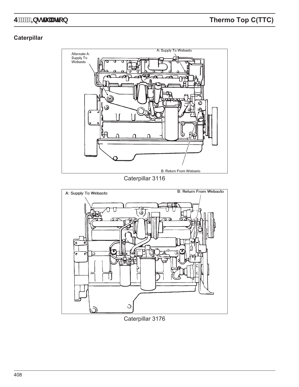### do**riu<sup>n</sup> U**der 4

# Caterpillar





Caterpillar 3176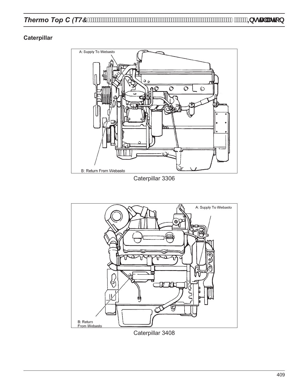|--|--|

# Caterpillar



Caterpillar 3306



Caterpillar 3408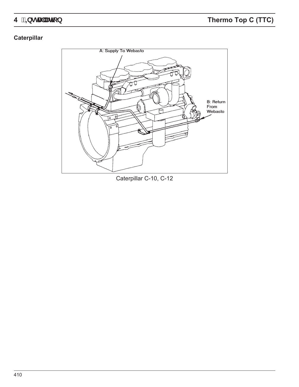# **Caterpillar**



Caterpillar C-10, C-12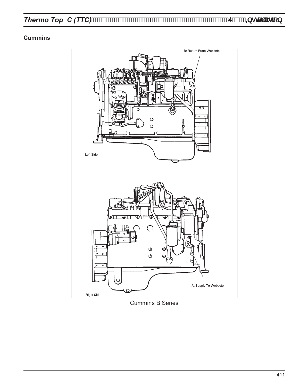# Thermo Top C (TTC)

# **Cummins**



**Cummins B Series**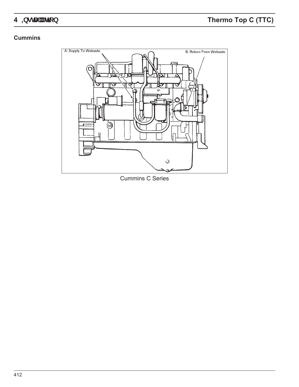# 4 =bgHJ`Uncb

# **Cummins**



**Cummins C Series**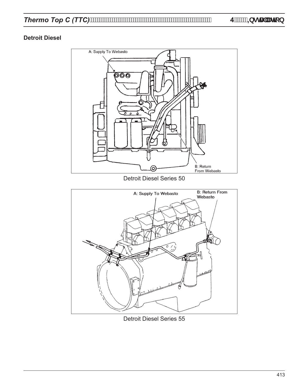# *Thermo Top C (TTC)* **4,QVWDOODWLRQ**

## **Detroit Diesel**



Detroit Diesel Series 55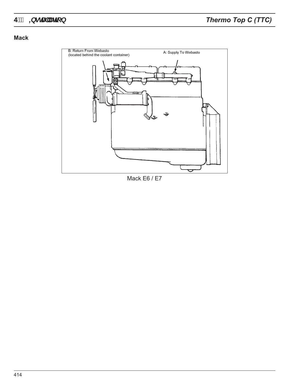### $4^{\cdots}$ =bgHJ`Unjcb

### **Mack**



Mack E6 / E7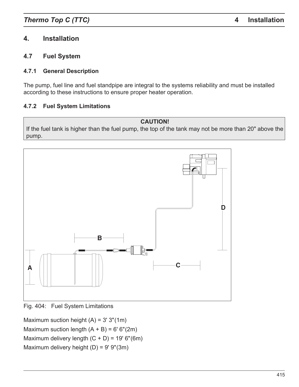# **4. Installation**

# **4.7 Fuel System**

# **4.7.1 General Description**

The pump, fuel line and fuel standpipe are integral to the systems reliability and must be installed according to these instructions to ensure proper heater operation.

# **4.7.2 Fuel System Limitations**

**CAUTION!** If the fuel tank is higher than the fuel pump, the top of the tank may not be more than 20" above the pump.



Fig. 404: Fuel System Limitations

Maximum suction height  $(A) = 3' 3''(1m)$ Maximum suction length  $(A + B) = 6' 6''(2m)$ Maximum delivery length  $(C + D) = 19' 6''(6m)$ Maximum delivery height  $(D) = 9' 9''(3m)$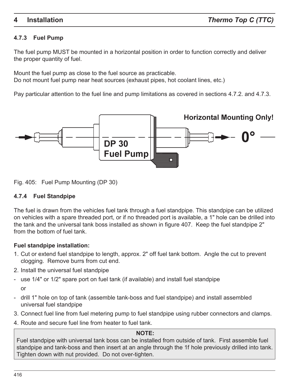## **4.7.3 Fuel Pump**

The fuel pump MUST be mounted in a horizontal position in order to function correctly and deliver the proper quantity of fuel.

Mount the fuel pump as close to the fuel source as practicable. Do not mount fuel pump near heat sources (exhaust pipes, hot coolant lines, etc.)

Pay particular attention to the fuel line and pump limitations as covered in sections 4.7.2. and 4.7.3.



Fig. 405: Fuel Pump Mounting (DP 30)

### **4.7.4 Fuel Standpipe**

The fuel is drawn from the vehicles fuel tank through a fuel standpipe. This standpipe can be utilized on vehicles with a spare threaded port, or if no threaded port is available, a 1" hole can be drilled into the tank and the universal tank boss installed as shown in figure 407. Keep the fuel standpipe 2" from the bottom of fuel tank.

### **Fuel standpipe installation:**

- 1. Cut or extend fuel standpipe to length, approx. 2" off fuel tank bottom. Angle the cut to prevent clogging. Remove burrs from cut end.
- 2. Install the universal fuel standpipe
- use 1/4" or 1/2" spare port on fuel tank (if available) and install fuel standpipe or
- drill 1" hole on top of tank (assemble tank-boss and fuel standpipe) and install assembled universal fuel standpipe
- 3. Connect fuel line from fuel metering pump to fuel standpipe using rubber connectors and clamps.
- 4. Route and secure fuel line from heater to fuel tank.

### **NOTE:**

Fuel standpipe with universal tank boss can be installed from outside of tank. First assemble fuel standpipe and tank-boss and then insert at an angle through the 1f hole previously drilled into tank. Tighten down with nut provided. Do not over-tighten.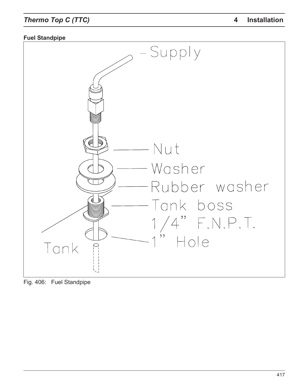### **Fuel Standpipe**



Fig. 406: Fuel Standpipe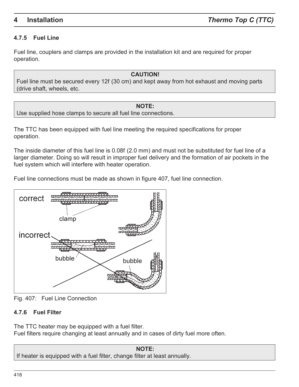# **4.7.5 Fuel Line**

Fuel line, couplers and clamps are provided in the installation kit and are required for proper operation.

## **CAUTION!**

Fuel line must be secured every 12f (30 cm) and kept away from hot exhaust and moving parts (drive shaft, wheels, etc.

### **NOTE:** Use supplied hose clamps to secure all fuel line connections.

The TTC has been equipped with fuel line meeting the required specifications for proper operation.

The inside diameter of this fuel line is 0.08f (2.0 mm) and must not be substituted for fuel line of a larger diameter. Doing so will result in improper fuel delivery and the formation of air pockets in the fuel system which will interfere with heater operation.

Fuel line connections must be made as shown in figure 407, fuel line connection.



Fig. 407: Fuel Line Connection

# **4.7.6 Fuel Filter**

The TTC heater may be equipped with a fuel filter. Fuel filters require changing at least annually and in cases of dirty fuel more often.

**NOTE:** If heater is equipped with a fuel filter, change filter at least annually.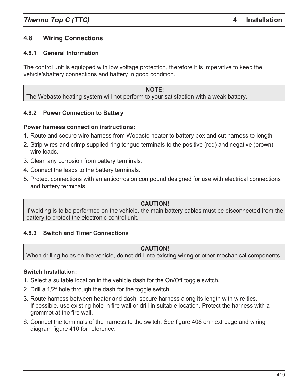# **4.8 Wiring Connections**

### **4.8.1 General Information**

The control unit is equipped with low voltage protection, therefore it is imperative to keep the vehicle's battery connections and battery in good condition.

**NOTE:** The Webasto heating system will not perform to your satisfaction with a weak battery.

### **4.8.2 Power Connection to Battery**

### **Power harness connection instructions:**

- 1. Route and secure wire harness from Webasto heater to battery box and cut harness to length.
- 2. Strip wires and crimp supplied ring tongue terminals to the positive (red) and negative (brown) wire leads.
- 3. Clean any corrosion from battery terminals.
- 4. Connect the leads to the battery terminals.
- 5. Protect connections with an anticorrosion compound designed for use with electrical connections and battery terminals.

### **CAUTION!**

If welding is to be performed on the vehicle, the main battery cables must be disconnected from the battery to protect the electronic control unit.

### **4.8.3 Switch and Timer Connections**

### **CAUTION!**

When drilling holes on the vehicle, do not drill into existing wiring or other mechanical components.

### **Switch Installation:**

- 1. Select a suitable location in the vehicle dash for the On/Off toggle switch.
- 2. Drill a 1/2f hole through the dash for the toggle switch.
- 3. Route harness between heater and dash, secure harness along its length with wire ties. If possible, use existing hole in fire wall or drill in suitable location. Protect the harness with a grommet at the fire wall.
- 6. Connect the terminals of the harness to the switch. See figure 408 on next page and wiring diagram figure 410 for reference.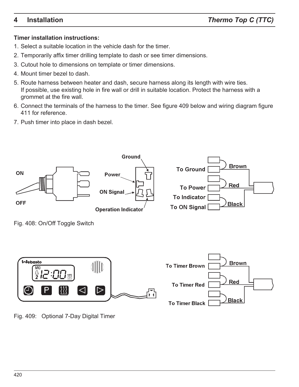### **Timer installation instructions:**

- 1. Select a suitable location in the vehicle dash for the timer.
- 2. Temporarily affix timer drilling template to dash or see timer dimensions.
- 3. Cutout hole to dimensions on template or timer dimensions.
- 4. Mount timer bezel to dash.
- 5. Route harness between heater and dash, secure harness along its length with wire ties. If possible, use existing hole in fire wall or drill in suitable location. Protect the harness with a grommet at the fire wall.
- 6. Connect the terminals of the harness to the timer. See figure 409 below and wiring diagram figure 411 for reference.
- 7. Push timer into place in dash bezel.



Fig. 408: On/Off Toggle Switch





Fig. 409: Optional 7-Day Digital Timer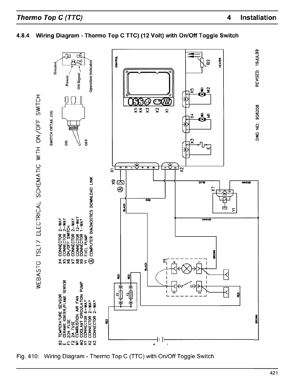### 4.8.4 Wiring Diagram - Thermo Top C TTC) (12 Volt) with On/Off Toggle Switch



Fig. 410: Wiring Diagram - Thermo Top C (TTC) with On/Off Toggle Switch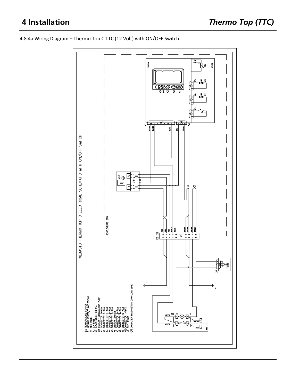# **4 Installation** *Thermo Top (TTC)*

## 4.8.4a Wiring Diagram – Thermo Top C TTC (12 Volt) with ON/OFF Switch

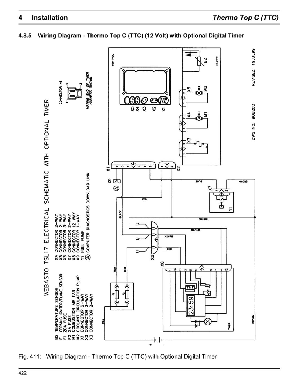



Fig. 411: Wiring Diagram - Thermo Top C (TTC) with Optional Digital Timer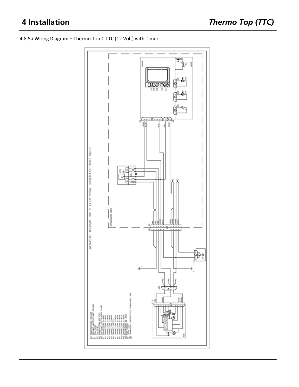# **4 Installation**

# **Thermo Top (TTC)**

4.8.5a Wiring Diagram - Thermo Top C TTC (12 Volt) with Timer

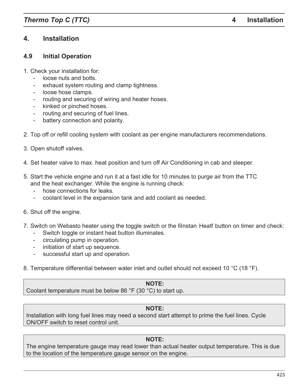# **4. Installation**

## **4.9 Initial Operation**

- 1. Check your installation for:
	- loose nuts and bolts.
	- exhaust system routing and clamp tightness.
	- loose hose clamps.
	- routing and securing of wiring and heater hoses.
	- kinked or pinched hoses.
	- routing and securing of fuel lines.
	- battery connection and polarity.
- 2. Top off or refill cooling system with coolant as per engine manufacturers recommendations.
- 3. Open shutoff valves.
- 4. Set heater valve to max. heat position and turn off Air Conditioning in cab and sleeper.
- 5. Start the vehicle engine and run it at a fast idle for 10 minutes to purge air from the TTC and the heat exchanger. While the engine is running check:
	- hose connections for leaks.
	- coolant level in the expansion tank and add coolant as needed.
- 6. Shut off the engine.
- 7. Switch on Webasto heater using the toggle switch or the fiInstan Heatf button on timer and check:
	- Switch toggle or instant heat button illuminates.
	- circulating pump in operation.
	- initiation of start up sequence.
	- successful start up and operation.
- 8. Temperature differential between water inlet and outlet should not exceed 10 °C (18 °F).

# **NOTE:**

Coolant temperature must be below 86 °F (30 °C) to start up.

# **NOTE:**

Installation with long fuel lines may need a second start attempt to prime the fuel lines. Cycle ON/OFF switch to reset control unit.

# **NOTE:**

The engine temperature gauge may read lower than actual heater output temperature. This is due to the location of the temperature gauge sensor on the engine.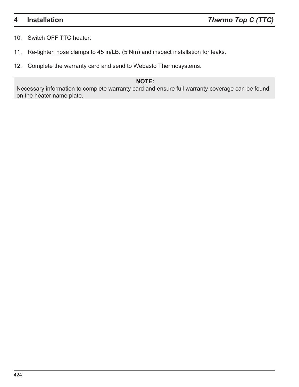10. Switch OFF TTC heater.

- 11. Re-tighten hose clamps to 45 in/LB. (5 Nm) and inspect installation for leaks.
- 12. Complete the warranty card and send to Webasto Thermosystems.

# **NOTE:**

Necessary information to complete warranty card and ensure full warranty coverage can be found on the heater name plate.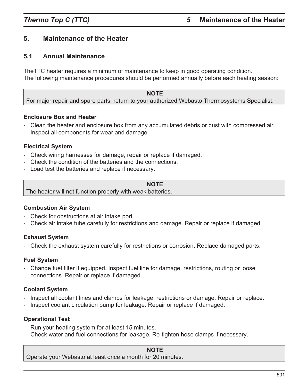# **5. Maintenance of the Heater**

## **5.1 Annual Maintenance**

TheTTC heater requires a minimum of maintenance to keep in good operating condition. The following maintenance procedures should be performed annually before each heating season:

### **NOTE**

For major repair and spare parts, return to your authorized Webasto Thermosystems Specialist.

### **Enclosure Box and Heater**

- Clean the heater and enclosure box from any accumulated debris or dust with compressed air.
- Inspect all components for wear and damage.

### **Electrical System**

- Check wiring harnesses for damage, repair or replace if damaged.
- Check the condition of the batteries and the connections.
- Load test the batteries and replace if necessary.

### **NOTE**

The heater will not function properly with weak batteries.

### **Combustion Air System**

- Check for obstructions at air intake port.
- Check air intake tube carefully for restrictions and damage. Repair or replace if damaged.

### **Exhaust System**

- Check the exhaust system carefully for restrictions or corrosion. Replace damaged parts.

### **Fuel System**

- Change fuel filter if equipped. Inspect fuel line for damage, restrictions, routing or loose connections. Repair or replace if damaged.

### **Coolant System**

- Inspect all coolant lines and clamps for leakage, restrictions or damage. Repair or replace.
- Inspect coolant circulation pump for leakage. Repair or replace if damaged.

### **Operational Test**

- Run your heating system for at least 15 minutes.
- Check water and fuel connections for leakage. Re-tighten hose clamps if necessary.

## **NOTE**

Operate your Webasto at least once a month for 20 minutes.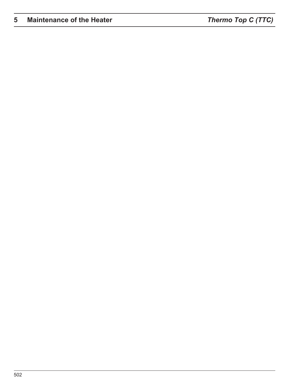### **Maintenance of the Heater**  $5\phantom{a}$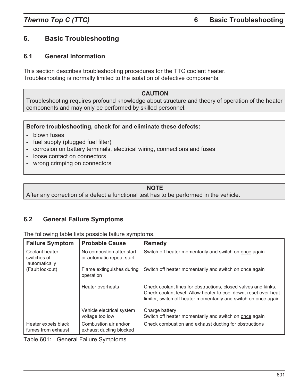# **6. Basic Troubleshooting**

# **6.1 General Information**

This section describes troubleshooting procedures for the TTC coolant heater. Troubleshooting is normally limited to the isolation of defective components.

### **CAUTION**

Troubleshooting requires profound knowledge about structure and theory of operation of the heater components and may only be performed by skilled personnel.

### **Before troubleshooting, check for and eliminate these defects:**

- blown fuses
- fuel supply (plugged fuel filter)
- corrosion on battery terminals, electrical wiring, connections and fuses
- loose contact on connectors
- wrong crimping on connectors

### **NOTE**

After any correction of a defect a functional test has to be performed in the vehicle.

# **6.2 General Failure Symptoms**

| <b>Failure Symptom</b>                          | <b>Probable Cause</b>                                  | <b>Remedy</b>                                                                                                                                                                                        |
|-------------------------------------------------|--------------------------------------------------------|------------------------------------------------------------------------------------------------------------------------------------------------------------------------------------------------------|
| Coolant heater<br>switches off<br>automatically | No combustion after start<br>or automatic repeat start | Switch off heater momentarily and switch on once again                                                                                                                                               |
| (Fault lockout)                                 | Flame extinguishes during<br>operation                 | Switch off heater momentarily and switch on once again                                                                                                                                               |
|                                                 | Heater overheats                                       | Check coolant lines for obstructions, closed valves and kinks.<br>Check coolant level. Allow heater to cool down, reset over heat<br>limiter, switch off heater momentarily and switch on once again |
|                                                 | Vehicle electrical system<br>voltage too low           | Charge battery<br>Switch off heater momentarily and switch on once again                                                                                                                             |
| Heater expels black<br>fumes from exhaust       | Combustion air and/or<br>exhaust ducting blocked       | Check combustion and exhaust ducting for obstructions                                                                                                                                                |

The following table lists possible failure symptoms.

Table 601: General Failure Symptoms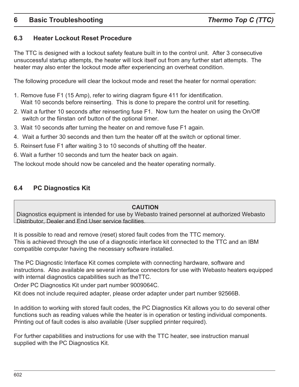# **6 Basic Troubleshooting** *Thermo Top C (TTC)*

## **6.3 Heater Lockout Reset Procedure**

The TTC is designed with a lockout safety feature built in to the control unit. After 3 consecutive unsuccessful startup attempts, the heater will lock itself out from any further start attempts. The heater may also enter the lockout mode after experiencing an overheat condition.

The following procedure will clear the lockout mode and reset the heater for normal operation:

- 1. Remove fuse F1 (15 Amp), refer to wiring diagram figure 411 for identification. Wait 10 seconds before reinserting. This is done to prepare the control unit for resetting.
- 2. Wait a further 10 seconds after reinserting fuse F1. Now turn the heater on using the On/Off switch or the fiinstan onf button of the optional timer.
- 3. Wait 10 seconds after turning the heater on and remove fuse F1 again.
- 4. Wait a further 30 seconds and then turn the heater off at the switch or optional timer.
- 5. Reinsert fuse F1 after waiting 3 to 10 seconds of shutting off the heater.
- 6. Wait a further 10 seconds and turn the heater back on again.

The lockout mode should now be canceled and the heater operating normally.

# **6.4 PC Diagnostics Kit**

### **CAUTION**

Diagnostics equipment is intended for use by Webasto trained personnel at authorized Webasto Distributor, Dealer and End User service facilities.

It is possible to read and remove (reset) stored fault codes from the TTC memory. This is achieved through the use of a diagnostic interface kit connected to the TTC and an IBM compatible computer having the necessary software installed.

The PC Diagnostic Interface Kit comes complete with connecting hardware, software and instructions. Also available are several interface connectors for use with Webasto heaters equipped with internal diagnostics capabilities such as theTTC.

Order PC Diagnostics Kit under part number 9009064C.

Kit does not include required adapter, please order adapter under part number 92566B.

In addition to working with stored fault codes, the PC Diagnostics Kit allows you to do several other functions such as reading values while the heater is in operation or testing individual components. Printing out of fault codes is also available (User supplied printer required).

For further capabilities and instructions for use with the TTC heater, see instruction manual supplied with the PC Diagnostics Kit.